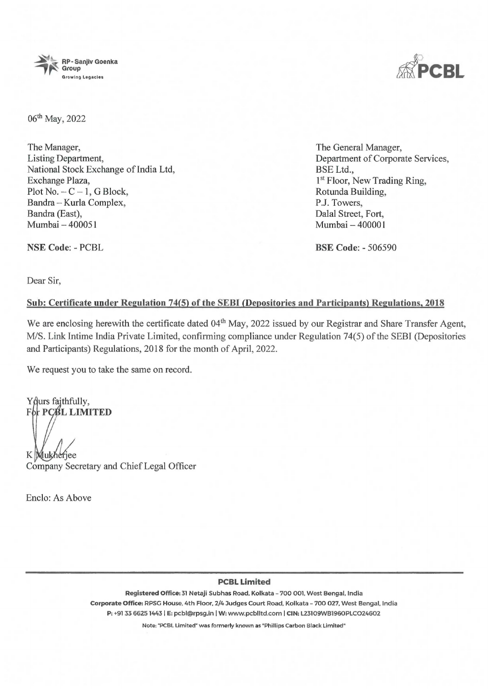

06th May, 2022

The Manager, Listing Department, National Stock Exchange of India Ltd, Exchange Plaza, Plot No.  $-C-1$ , G Block, Bandra - Kurla Complex, Bandra (East), Mumbai - 400051

The General Manager, Department of Corporate Services, BSE Ltd., **1st** Floor, New Trading Ring, Rotunda Building, P.J. Towers, Dalal Street, Fort, Mumbai - 400001

**BSE Code:** - 506590

Dear Sir,

**NSE Code:** - PCBL

## **Sub: Certificate under Regulation 74(5) of the SEBI (Depositories and Participants) Regulations, 2018**

We are enclosing herewith the certificate dated 04<sup>th</sup> May, 2022 issued by our Registrar and Share Transfer Agent, M/S. Link Intime India Private Limited, confirming compliance under Regulation 74(5) of the SEBI (Depositories and Participants) Regulations, 2018 for the month of April, 2022.

We request you to take the same on record.

Y durs faithfully, **For PCBL LIMITED** 

K Mukheriee

Company Secretary and Chief Legal Officer

Enclo: As Above

## **PCBL Limited**

**Registered Office:** 31 Netaji Subhas Road, Kolkata - 700 001. West Bengal, India **Corporate Office:** RPSG House. 4th Floor, 2/4 Judges Court Road. Kolkata - 700 027, West Bengal. India **P:** +91 33 66251443 I **E:** pcbl@rpsg.in I **W:** www.pcblltd.com I **CIN:** L23109WB1960PLCO24602

Note: "PCBL Limited" was formerly known as "Phillips Carbon Black Limited"